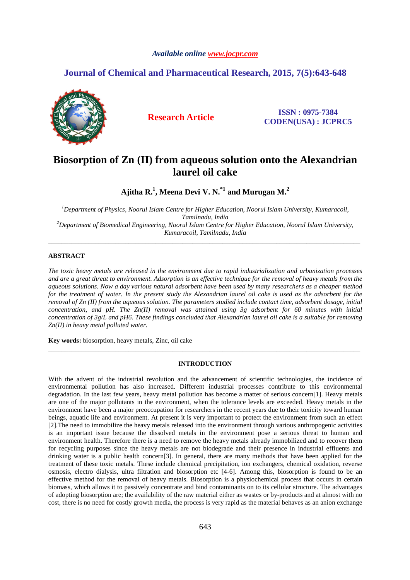# *Available online www.jocpr.com*

# **Journal of Chemical and Pharmaceutical Research, 2015, 7(5):643-648**



**Research Article ISSN : 0975-7384 CODEN(USA) : JCPRC5**

# **Biosorption of Zn (II) from aqueous solution onto the Alexandrian laurel oil cake**

**Ajitha R.<sup>1</sup> , Meena Devi V. N.\*1 and Murugan M.<sup>2</sup>**

*<sup>1</sup>Department of Physics, Noorul Islam Centre for Higher Education, Noorul Islam University, Kumaracoil, Tamilnadu, India <sup>2</sup>Department of Biomedical Engineering, Noorul Islam Centre for Higher Education, Noorul Islam University, Kumaracoil, Tamilnadu, India* 

\_\_\_\_\_\_\_\_\_\_\_\_\_\_\_\_\_\_\_\_\_\_\_\_\_\_\_\_\_\_\_\_\_\_\_\_\_\_\_\_\_\_\_\_\_\_\_\_\_\_\_\_\_\_\_\_\_\_\_\_\_\_\_\_\_\_\_\_\_\_\_\_\_\_\_\_\_\_\_\_\_\_\_\_\_\_\_\_\_\_\_\_\_

# **ABSTRACT**

*The toxic heavy metals are released in the environment due to rapid industrialization and urbanization processes*  and are a great threat to environment. Adsorption is an effective technique for the removal of heavy metals from the *aqueous solutions. Now a day various natural adsorbent have been used by many researchers as a cheaper method for the treatment of water. In the present study the Alexandrian laurel oil cake is used as the adsorbent for the removal of Zn (II) from the aqueous solution. The parameters studied include contact time, adsorbent dosage, initial concentration, and pH. The Zn(II) removal was attained using 3g adsorbent for 60 minutes with initial concentration of 3g/L and pH6. These findings concluded that Alexandrian laurel oil cake is a suitable for removing Zn(II) in heavy metal polluted water.*

**Key words:** biosorption, heavy metals, Zinc, oil cake

# **INTRODUCTION**

\_\_\_\_\_\_\_\_\_\_\_\_\_\_\_\_\_\_\_\_\_\_\_\_\_\_\_\_\_\_\_\_\_\_\_\_\_\_\_\_\_\_\_\_\_\_\_\_\_\_\_\_\_\_\_\_\_\_\_\_\_\_\_\_\_\_\_\_\_\_\_\_\_\_\_\_\_\_\_\_\_\_\_\_\_\_\_\_\_\_\_\_\_

With the advent of the industrial revolution and the advancement of scientific technologies, the incidence of environmental pollution has also increased. Different industrial processes contribute to this environmental degradation. In the last few years, heavy metal pollution has become a matter of serious concern[1]. Heavy metals are one of the major pollutants in the environment, when the tolerance levels are exceeded. Heavy metals in the environment have been a major preoccupation for researchers in the recent years due to their toxicity toward human beings, aquatic life and environment. At present it is very important to protect the environment from such an effect [2].The need to immobilize the heavy metals released into the environment through various anthropogenic activities is an important issue because the dissolved metals in the environment pose a serious threat to human and environment health. Therefore there is a need to remove the heavy metals already immobilized and to recover them for recycling purposes since the heavy metals are not biodegrade and their presence in industrial effluents and drinking water is a public health concern[3]. In general, there are many methods that have been applied for the treatment of these toxic metals. These include chemical precipitation, ion exchangers, chemical oxidation, reverse osmosis, electro dialysis, ultra filtration and biosorption etc [4-6]. Among this, biosorption is found to be an effective method for the removal of heavy metals. Biosorption is a physiochemical process that occurs in certain biomass, which allows it to passively concentrate and bind contaminants on to its cellular structure. The advantages of adopting biosorption are; the availability of the raw material either as wastes or by-products and at almost with no cost, there is no need for costly growth media, the process is very rapid as the material behaves as an anion exchange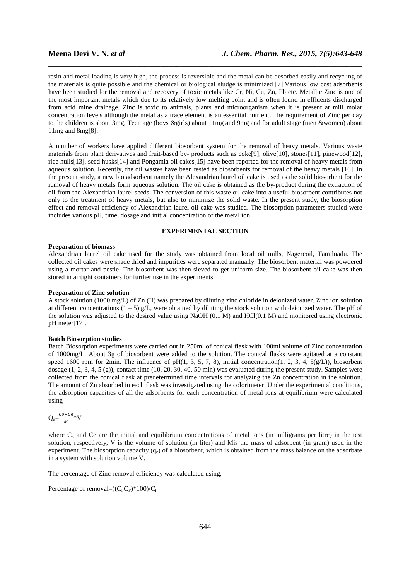resin and metal loading is very high, the process is reversible and the metal can be desorbed easily and recycling of the materials is quite possible and the chemical or biological sludge is minimized [7].Various low cost adsorbents have been studied for the removal and recovery of toxic metals like Cr, Ni, Cu, Zn, Pb etc. Metallic Zinc is one of the most important metals which due to its relatively low melting point and is often found in effluents discharged from acid mine drainage. Zinc is toxic to animals, plants and microorganism when it is present at mill molar concentration levels although the metal as a trace element is an essential nutrient. The requirement of Zinc per day to the children is about 3mg, Teen age (boys &girls) about 11mg and 9mg and for adult stage (men &women) about 11mg and 8mg[8].

*\_\_\_\_\_\_\_\_\_\_\_\_\_\_\_\_\_\_\_\_\_\_\_\_\_\_\_\_\_\_\_\_\_\_\_\_\_\_\_\_\_\_\_\_\_\_\_\_\_\_\_\_\_\_\_\_\_\_\_\_\_\_\_\_\_\_\_\_\_\_\_\_\_\_\_\_\_\_*

A number of workers have applied different biosorbent system for the removal of heavy metals. Various waste materials from plant derivatives and fruit-based by- products such as coke[9], olive[10], stones[11], pinewood[12], rice hulls[13], seed husks[14] and Pongamia oil cakes[15] have been reported for the removal of heavy metals from aqueous solution. Recently, the oil wastes have been tested as biosorbents for removal of the heavy metals [16]. In the present study, a new bio adsorbent namely the Alexandrian laurel oil cake is used as the solid biosorbent for the removal of heavy metals form aqueous solution. The oil cake is obtained as the by-product during the extraction of oil from the Alexandrian laurel seeds. The conversion of this waste oil cake into a useful biosorbent contributes not only to the treatment of heavy metals, but also to minimize the solid waste. In the present study, the biosorption effect and removal efficiency of Alexandrian laurel oil cake was studied. The biosorption parameters studied were includes various pH, time, dosage and initial concentration of the metal ion.

# **EXPERIMENTAL SECTION**

#### **Preparation of biomass**

Alexandrian laurel oil cake used for the study was obtained from local oil mills, Nagercoil, Tamilnadu. The collected oil cakes were shade dried and impurities were separated manually. The biosorbent material was powdered using a mortar and pestle. The biosorbent was then sieved to get uniform size. The biosorbent oil cake was then stored in airtight containers for further use in the experiments.

### **Preparation of Zinc solution**

A stock solution (1000 mg/L) of Zn (II) was prepared by diluting zinc chloride in deionized water. Zinc ion solution at different concentrations  $(1 - 5)$  g/L, were obtained by diluting the stock solution with deionized water. The pH of the solution was adjusted to the desired value using NaOH (0.1 M) and HCl(0.1 M) and monitored using electronic pH meter[17].

#### **Batch Biosorption studies**

Batch Biosorption experiments were carried out in 250ml of conical flask with 100ml volume of Zinc concentration of 1000mg/L. About 3g of biosorbent were added to the solution. The conical flasks were agitated at a constant speed 1600 rpm for 2min. The influence of pH(1, 3, 5, 7, 8), initial concentration(1, 2, 3, 4,  $5(g/L)$ ), biosorbent dosage (1, 2, 3, 4, 5 (g)), contact time (10, 20, 30, 40, 50 min) was evaluated during the present study. Samples were collected from the conical flask at predetermined time intervals for analyzing the Zn concentration in the solution. The amount of Zn absorbed in each flask was investigated using the colorimeter. Under the experimental conditions, the adsorption capacities of all the adsorbents for each concentration of metal ions at equilibrium were calculated using

$$
Q_e\!\!=\!\!\frac{\mathcal{C}o\!-\!\mathcal{C}e}{\mathit{M}}\!\!\ast\!V
$$

where  $C_0$  and  $C$ e are the initial and equilibrium concentrations of metal ions (in milligrams per litre) in the test solution, respectively, V is the volume of solution (in liter) and Mis the mass of adsorbent (in gram) used in the experiment. The biosorption capacity  $(q_e)$  of a biosorbent, which is obtained from the mass balance on the adsorbate in a system with solution volume V.

The percentage of Zinc removal efficiency was calculated using,

Percentage of removal= $((C_iC_F)^*100)/C_i$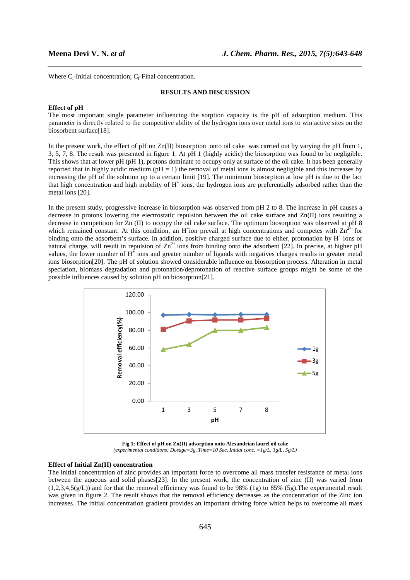Where  $C_i$ -Initial concentration;  $C_f$ -Final concentration.

#### **RESULTS AND DISCUSSION**

*\_\_\_\_\_\_\_\_\_\_\_\_\_\_\_\_\_\_\_\_\_\_\_\_\_\_\_\_\_\_\_\_\_\_\_\_\_\_\_\_\_\_\_\_\_\_\_\_\_\_\_\_\_\_\_\_\_\_\_\_\_\_\_\_\_\_\_\_\_\_\_\_\_\_\_\_\_\_*

#### **Effect of pH**

The most important single parameter influencing the sorption capacity is the pH of adsorption medium. This parameter is directly related to the competitive ability of the hydrogen ions over metal ions to win active sites on the biosorbent surface[18].

In the present work, the effect of pH on Zn(II) biosorption onto oil cake was carried out by varying the pH from 1, 3, 5, 7, 8. The result was presented in figure 1. At pH 1 (highly acidic) the biosorption was found to be negligible. This shows that at lower pH (pH 1), protons dominate to occupy only at surface of the oil cake. It has been generally reported that in highly acidic medium ( $pH = 1$ ) the removal of metal ions is almost negligible and this increases by increasing the pH of the solution up to a certain limit [19]. The minimum biosorption at low pH is due to the fact that high concentration and high mobility of  $H^+$  ions, the hydrogen ions are preferentially adsorbed rather than the metal ions [20].

In the present study, progressive increase in biosorption was observed from pH 2 to 8. The increase in pH causes a decrease in protons lowering the electrostatic repulsion between the oil cake surface and Zn(II) ions resulting a decrease in competition for Zn (II) to occupy the oil cake surface. The optimum biosorption was observed at pH 8 which remained constant. At this condition, an H<sup>+</sup>ion prevail at high concentrations and competes with  $\text{Zn}^{2+}$  for binding onto the adsorbent's surface. In addition, positive charged surface due to either, protonation by  $H^+$  ions or natural charge, will result in repulsion of  $\text{Zn}^{2+}$  ions from binding onto the adsorbent [22]. In precise, at higher pH values, the lower number of  $H^{\dagger}$  ions and greater number of ligands with negatives charges results in greater metal ions biosorption[20]. The pH of solution showed considerable influence on biosorption process. Alteration in metal speciation, biomass degradation and protonation/deprotonation of reactive surface groups might be some of the possible influences caused by solution pH on biosorption[21].



**Fig 1: Effect of pH on Zn(II) adsorption onto Alexandrian laurel oil cake**  *(experimental conditions: Dosage=3g, Time=10 Sec, Initial conc. =1g/L, 3g/L, 5g/L)* 

# **Effect of Initial Zn(II) concentration**

The initial concentration of zinc provides an important force to overcome all mass transfer resistance of metal ions between the aqueous and solid phases[23]. In the present work, the concentration of zinc (II) was varied from (1,2,3,4,5(g/L)) and for that the removal efficiency was found to be 98% (1g) to 85% (5g).The experimental result was given in figure 2. The result shows that the removal efficiency decreases as the concentration of the Zinc ion increases. The initial concentration gradient provides an important driving force which helps to overcome all mass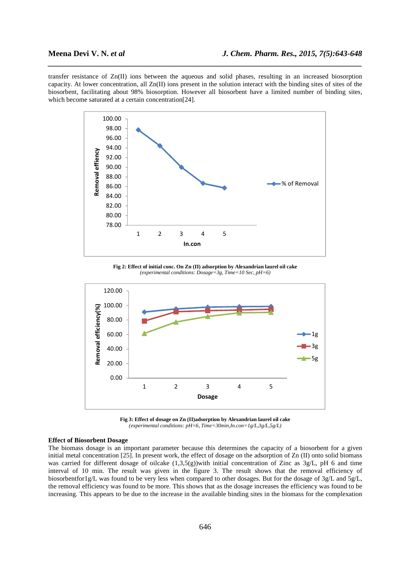transfer resistance of Zn(II) ions between the aqueous and solid phases, resulting in an increased biosorption capacity. At lower concentration, all  $Zn(II)$  ions present in the solution interact with the binding sites of sites of the biosorbent, facilitating about 98% biosorption. However all biosorbent have a limited number of binding sites, which become saturated at a certain concentration[24].

*\_\_\_\_\_\_\_\_\_\_\_\_\_\_\_\_\_\_\_\_\_\_\_\_\_\_\_\_\_\_\_\_\_\_\_\_\_\_\_\_\_\_\_\_\_\_\_\_\_\_\_\_\_\_\_\_\_\_\_\_\_\_\_\_\_\_\_\_\_\_\_\_\_\_\_\_\_\_*



**Fig 2: Effect of initial conc. On Zn (II) adsorption by Alexandrian laurel oil cake**  *(experimental conditions: Dosage=3g, Time=10 Sec, pH=6)* 



**Fig 3: Effect of dosage on Zn (II)adsorption by Alexandrian laurel oil cake**  *(experimental conditions: pH=6, Time=30min,In.con=1g/L,3g/L,5g/L)* 

### **Effect of Biosorbent Dosage**

The biomass dosage is an important parameter because this determines the capacity of a biosorbent for a given initial metal concentration [25]. In present work, the effect of dosage on the adsorption of Zn (II) onto solid biomass was carried for different dosage of oilcake  $(1,3,5(g))$  with initial concentration of Zinc as 3g/L, pH 6 and time interval of 10 min. The result was given in the figure 3. The result shows that the removal efficiency of biosorbentfor1g/L was found to be very less when compared to other dosages. But for the dosage of 3g/L and 5g/L, the removal efficiency was found to be more. This shows that as the dosage increases the efficiency was found to be increasing. This appears to be due to the increase in the available binding sites in the biomass for the complexation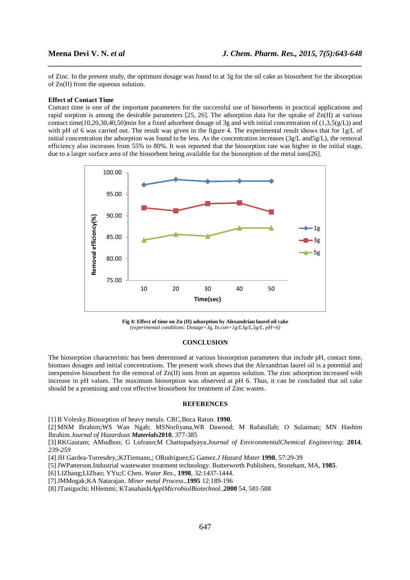of Zinc. In the present study, the optimum dosage was found to at 3g for the oil cake as biosorbent for the absorption of Zn(II) from the aqueous solution.

*\_\_\_\_\_\_\_\_\_\_\_\_\_\_\_\_\_\_\_\_\_\_\_\_\_\_\_\_\_\_\_\_\_\_\_\_\_\_\_\_\_\_\_\_\_\_\_\_\_\_\_\_\_\_\_\_\_\_\_\_\_\_\_\_\_\_\_\_\_\_\_\_\_\_\_\_\_\_*

#### **Effect of Contact Time**

Contact time is one of the important parameters for the successful use of biosorbents in practical applications and rapid sorption is among the desirable parameters [25, 26]. The adsorption data for the uptake of Zn(II) at various contact time(10,20,30,40,50)min for a fixed adsorbent dosage of 3g and with initial concentration of (1,3,5(g/L)) and with pH of 6 was carried out. The result was given in the figure 4. The experimental result shows that for 1g/L of initial concentration the adsorption was found to be less. As the concentration increases  $(3g/L \text{ and } 5g/L)$ , the removal efficiency also increases from 55% to 80%. It was reported that the biosorption rate was higher in the initial stage, due to a larger surface area of the biosorbent being available for the biosorption of the metal ions[26].



**Fig 4: Effect of time on Zn (II) adsorption by Alexandrian laurel oil cake**  *(experimental conditions: Dosage=3g, In.con=1g/L3g/L,5g/L, pH=6)* 

### **CONCLUSION**

The biosorption characteristic has been determined at various biosorption parameters that include pH, contact time, biomass dosages and initial concentrations. The present work shows that the Alexandrian laurel oil is a potential and inexpensive biosorbent for the removal of Zn(II) ions from an aqueous solution. The zinc adsorption increased with increase in pH values. The maximum biosorption was observed at pH 6. Thus, it can be concluded that oil cake should be a promising and cost effective biosorbent for treatment of Zinc wastes.

# **REFERENCES**

[1] B Volesky.Biosorption of heavy metals. CRC,Boca Raton. **1990**.

[2] MNM Ibrahim;WS Wan Ngah; MSNorliyana,WR Dawood; M Rafatullah; O Sulaiman; MN Hashim Ibrahim.*Journal of Hazardous Materials***2010**, 377-385

[3] RKGautam; AMudhoo; G Lofrano;M Chattopadyaya.*Journal of EnvironmentalChemical Engineering;* **2014***, 239-259* 

[4]JH Gardea-Torresdey,;KJTiemann,; ORodriguez;G Gamez.*J Hazard Mater* **1998**, 57:29-39

[5]JWPatterson.Industrial wastewater treatment technology. Butterworth Publishers, Stoneham, MA, **1985**.

[6] LIZhang;LIZhao; YYu;C Chen. *Water Res.*, **1998**, 32:1437-1444.

[7]JMMogak;KA Natarajan. *Miner metal Process*.,**1995** 12:189-196

[8]JTaniguchi; HHemmi; KTanahashi*ApplMicrobiolBiotechnol.,***2000** 54, 581-588